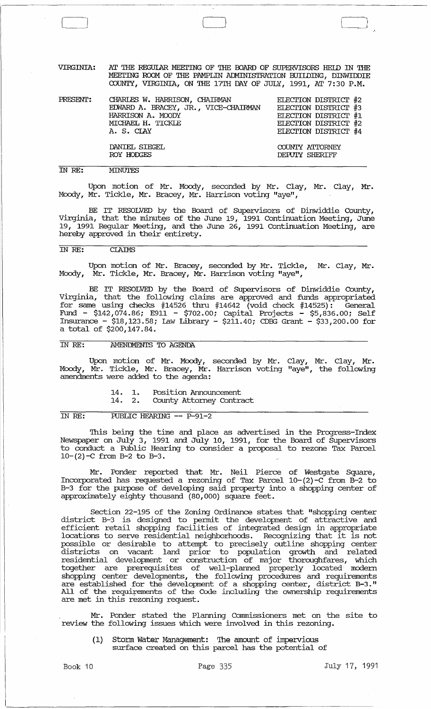VIRGINIA: AT THE REGULAR MEETING OF THE BOARD OF SUPERVISORS HEID IN THE MEETING ROOM OF THE PAMPLIN ADMINISTRATION BUIIDING, DINWIDDIE COUNTY, VIRGINIA, ON THE 17TH DAY OF JULY, 1991, AT 7:30 P.M.

 $\Box$ 

| PRESENT: | CHARLES W. HARRISON, CHAIRMAN<br>EDWARD A. BRACEY, JR., VICE-CHAIRMAN<br>HARRISON A. MOODY<br>MICHAEL H. TICKLE<br>A. S. CLAY | ELECTION DISTRICT #2<br>ELECTION DISTRICT #3<br>ELECTION DISTRICT #1<br>ELECTION DISTRICT #2<br>ELECTION DISTRICT #4 |
|----------|-------------------------------------------------------------------------------------------------------------------------------|----------------------------------------------------------------------------------------------------------------------|
|          | DANIEL SIEGEL<br>ROY HODGES                                                                                                   | COUNTY ATTORNEY<br>DEPUTY SHERTFF                                                                                    |

#### IN *RE:*  **MINUTFS**

Upon motion of Mr. Moody, seconded by Mr. Clay, Mr. Clay, Mr. Moody, Mr. Tickle, Mr. Bracey, Mr. Harrison voting "aye",

BE IT RESOLVED by the Board of supervisors of Dinwiddie County, Virginia, that the minutes of the June 19, 1991 Continuation Meeting, June 19, 1991 Regular Meeting, and the June 26, 1991 Continuation Meeting, are hereby approved in their entirety.

## IN *RE:* CLAIMS

Upon motion of Mr. Bracey, seconded by Mr. Tickle, Mr. Clay, Mr. Moody, Mr. Tickle, Mr. Bracey, Mr. Harrison voting "aye",

BE IT RESOLVED by the Board of supervisors of Dinwiddie County, Virginia, that the following claims are approved and funds appropriated for same using checks  $#14526$  thru  $#14642$  (void check  $#14525$ ): General Fund - \$142,074.86; E911 - \$702.00; capital Projects - \$5,836.00; Self Insurance - \$18,123.58; Law Library - \$211.40; CDBG Grant - \$33,200.00 for a total of \$200,147.84.

#### IN RE: **AMENDMENTS TO AGENDA**

Upon motion of Mr. Moody, seconded by Mr. Clay, Mr. Clay, Mr. Moody, Mr. Tickle, Mr. Bracey, Mr. Harrison voting "aye", the following amendments were added to the agenda:

- $\begin{array}{cc} 14. & 1. \\ 14. & 2. \end{array}$ Position Announcement
- 14. 2. County Attorney Contract

#### IN *RE:*  PUBLIC HEARING **--** P-91-2

'Ihis being the time and place as advertised in the Progress-Index Newspaper on July 3, 1991 and July 10, 1991, for the Board of Supervisors to conduct a Public Hearing to consider a proposal to rezone Tax Parcel  $10-(2)-C$  from B-2 to B-3.

Mr. Ponder reported that Mr. Neil Pierce of Westgate Square, Incorporated has requested a rezoning of Tax Parcel 10-(2)-C from B-2 to B-3 for the purpose of developing said property into a shopping center of approximately eighty thousand (80,000) square feet.

Section 22-195 of the zoning Ordinance states that "shopping center district B-3 is designed to permit the development of attractive and efficient retail shopping facilities of integrated design in appropriate locations to serve residential neighborhoods. Recognizing that it is not possible or desirable to attempt to precisely outline shopping center districts on vacant land prior to population growth and related residential development or construction of major thoroughfares, which together are prerequisites of well-planned properly located modern shopping center developments, the following procedures and requirements are established for the development of a shopping center, district B-3." All of the requirements of the Code including the ownership requirements are met in this rezoning request.

Mr. Ponder stated the Planning commissioners met on the site to review the following issues which were involved in this rezoning.

(1) stonn water Management: 'Ihe amount of impervious surface created on this parcel has the potential of

Page 335 July 17, 1991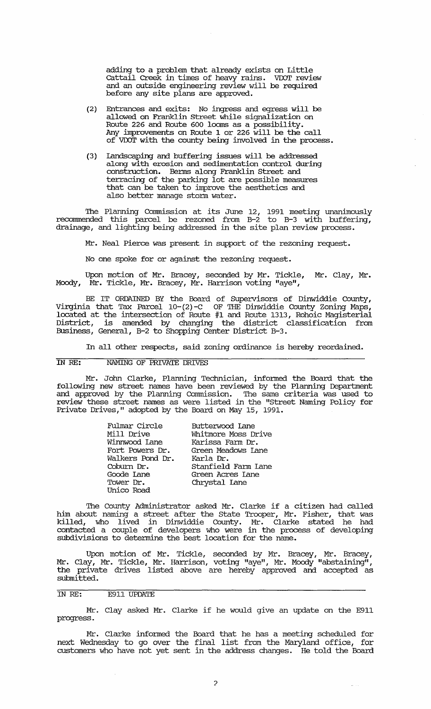adding to a problem that already exists on Little cattail Creek in times of heavy rains. VDOT review and an outside engineering review will be required before any site plans are approved.

- (2) Entrances and exits: No ingress and egress will be allowed on Franklin street while signalization on Route 226 and Route 600 looms as a possibility. Any improvements on Route 1 or 226 will be the call of VDOT with the county being involved in the process.
- (3) landscaping and buffering issues will be addressed along with erosion and sedimentation control during construction. Berms along Franklin street and terracing of the parking lot are possible measures that can be taken to improve the aesthetics and also better manage storm water.

The Planning Connnission at its June 12, 1991 meeting unanimously  $reconnected$  this parcel be rezoned from  $B-2$  to  $B-3$  with buffering, drainage, and lighting being addressed in the site plan review process.

Mr. Neal Pierce was present in support of the rezoning request.

No one spoke for or against the rezoning request.

Upon motion of Mr. Bracey, seconded by Mr. Tickle, Mr. Clay, Mr. Moody, Mr. Tickle, Mr. Bracey, Mr. Harrison voting "aye",

BE IT ORDAINED BY the Board of supervisors of Dinwiddie County, Virginia that Tax Parcel 10-(2)-C OF THE Dinwiddie County zoning Maps, located at the intersection of Route #1 and Route 1313, Rohoic Magisterial District, is amended by changing the district classification from Business, General, B-2 to Shopping Center District B-3.

In all other respects, said zoning ordinance is hereby reordained.

### IN RE: NAMING OF PRIVATE DRIVES

Mr. John Clarke, Planning Technician, informed the Board that the following new street names have been reviewed by the Planning Deparbuent and approved by the Planning connnission. The same criteria was used to review these street names as were listed in the "Street Naming Policy for Private Drives," adopted by the Board on May 15, 1991.

| Fulmar Circle    | Butterwood Lane     |  |
|------------------|---------------------|--|
| Mill Drive       | Whitmore Moss Drive |  |
| Winnwood Lane    | Karissa Farm Dr.    |  |
| Fort Powers Dr.  | Green Meadows Lane  |  |
| Walkers Pond Dr. | Karla Dr.           |  |
| Coburn Dr.       | Stanfield Farm Lane |  |
| Goode Lane       | Green Acres Tane    |  |
| Tower Dr.        | Chrystal Lane       |  |
| Unico Road       |                     |  |

The County Administrator asked Mr. Clarke if a citizen had called him about naming a street after the State Trooper, Mr. Fisher, that was killed, who lived in Dinwiddie County. Mr. Clarke stated he had contacted a couple of developers who were in the process of developing subdivisions to determine the best location for the name.

Upon motion of Mr. Tickle, seconded by Mr. Bracey, Mr. Bracey, Mr. Clay, Mr. Tickle, Mr. Harrison, voting "aye", Mr. Moody "abstaining", the private drives listed above are hereby approved and accepted as submitted.

# IN RE: E911 UPDA'IE

Mr. Clay asked Mr. Clarke if he would give an update on the E911 progress.

Mr. Clarke informed the Board that he has a meeting scheduled for next Wednesday to go over the final list from the Maryland office, for customers who have not yet sent in the address changes. He told the Board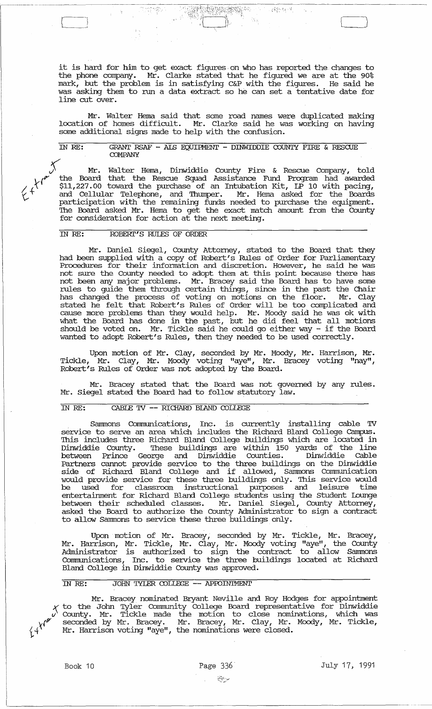it is hard for him to get exact figures, on who has reported the changes to the phone company. Mr. Clarke stated that he figured we are at the 90% mark, but the problem is in satisfying C&P with the figures. He said he was asking them to run a data extract so he can set a tentative date for line cut over.

Mr. Walter Hema said that some road names were duplicated making location of homes difficult. Mr. Clarke said he was working on having some additional signs made to help with the confusion.

IN RE: GRANT RSAF - ALS EQUIPMENT - DINWIDDIE COUNTY FIRE & RESCUE **COMPANY** 

) Mr. Walter Hema, Dinwiddie County Fire & Rescue Company, told *{IY* the Board that the Rescue Squad Assistance Fund Program had awarded  $\frac{1}{4}$ <sup>t</sup> \$11,227.00 toward the purchase of an Intubation Kit, LP 10 with pacing,  $\gamma^+$  and Cellular Telephone, and Thumper. Mr. Hema asked for the Boards participation with the remaining funds needed to purchase the equipment. 'Ihe Board asked Mr. Hema to get the exact match amount from the County for consideration for action at the next meeting.

## IN RE: ROBERT'S RULES OF ORDER

Mr. Daniel Siegel, County Attorney, stated to the Board that they had been supplied with a copy of Robert's Rules of Order for Parliamentary Procedures for their information and discretion. However, he said he was not sure the County needed to adopt them at this point because there has not been any major problems. Mr. Bracey said the Board has to have some rules to guide them through certain things, since in the past the Chair has changed the process of voting on motions on the floor. Mr. Clay stated he felt that Robert's Rules of Order will be too complicated and cause more problems than they would help. Mr. Moody said he was ok with what the Board has done in the past, but he did feel that all motions should be voted on. Mr. Tickle said he could go either way - if the Board wanted to adopt Robert's Rules, then they needed to be used correctly.

Upon motion of Mr. Clay, seconded by Mr. Moody, Mr. Harrison, Mr. Tickle, Mr. Clay, Mr. Moody voting "aye", Mr. Bracey voting "nay", Robert's Rules of Order was not adopted by the Board.

Mr. Bracey stated that the Board was not governed by any rules. Mr. Siegel stated the Board had to follow statutory law.

## IN RE: CABLE TV -- RICHARD BLAND COLLEGE

Sammons Communications, Inc. is currently installing cable TV service to serve an area which includes the Richard Bland College Campus. 'Ihis includes three Richard Bland College buildings which are located in These buildings are within 150 yards of the line<br>prge and Dinwiddie Counties. Dinwiddie Cable Dinwiddie County. These buildings are within 150<br>between Prince George and Dinwiddie Counties. Partners cannot provide service to the three buildings on the Dinwiddie side of Richard Bland College and if allowed, Sanrrnons Communication would provide service for these three buildings only. 'Ihis service would be used for classroom instructional purposes and leisure time entertainment for Richard Bland College students using the Student Lounge between their scheduled classes. Mr. Daniel Siegel, County Attorney, asked the Board to authorize the County Administrator to sign a contract to allow Sammons to service these three buildings only.

Upon motion of Mr. Bracey, seconded by Mr. Tickle, Mr. Bracey, Mr. Harrison, Mr. Tickle, Mr. Clay, Mr. Moody voting "aye", the County Administrator is authorized to sign the contract to allow Sanrrnons Cormnunications, Inc. to service the three buildings located at Richard Bland College in Dinwiddie County was approved.

#### IN RE: JOHN TYLER COLLEGE -- APPOINTMENT

Mr. Bracey nominated Bryant Neville and Roy Hodges for appointment to the John Tyler Community College Board representative for Dinwiddie V County. Mr. Tickle made the motion to close nominations, which was seconded by Mr. Bracey. Mr. Bracey, Mr. Clay, Mr. Moody, Mr. Tickle,  $\gamma$  +  $^{\prime}$  Mr. Harrison voting "aye", the nominations were closed.

 $\begin{picture}(220,20) \put(0,0){\line(1,0){0.5}} \put(0,0){\line(1,0){0.5}} \put(0,0){\line(1,0){0.5}} \put(0,0){\line(1,0){0.5}} \put(0,0){\line(1,0){0.5}} \put(0,0){\line(1,0){0.5}} \put(0,0){\line(1,0){0.5}} \put(0,0){\line(1,0){0.5}} \put(0,0){\line(1,0){0.5}} \put(0,0){\line(1,0){0.5}} \put(0,0){\line(1,0){0.5}} \put(0,0){\line($ 

 $\lfloor$ 

 $\label{eq:zeta} \zeta \in \mathbb{R}^{Q,1}_\mathrm{sym}(\mathbb{R}^2) \times \mathbb{R}^2_\mathrm{sym}$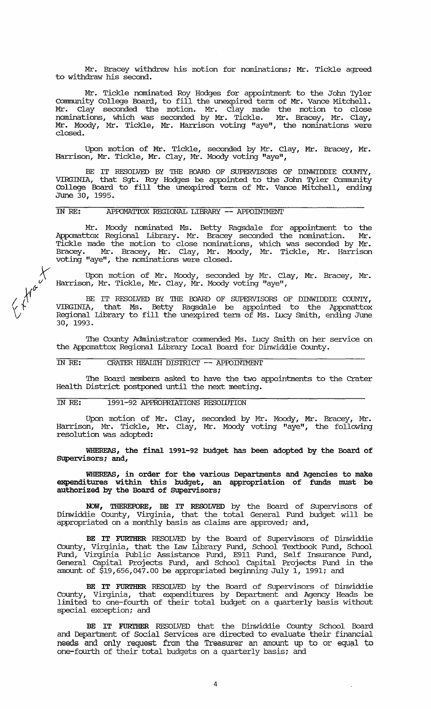Mr. Bracey withdrew his motion for nominations; Mr. Tickle agreed to withdraw his second.

Mr. Tickle nominated Roy Hodges for appointment to the John Tyler connnunity College Board, to fill the unexpired tenn of Mr. Vance Mitchell. Mr. Clay seconded the motion. Mr. Clay made the motion to close nominations, which was seconded by Mr. Tickle. Mr. Bracey, Mr. Clay, Mr. Moody, Mr. Tickle, Mr. Harrison voting "aye", the nominations were closed.

Upon motion of Mr. Tickle, seconded by Mr. Clay, Mr. Bracey, Mr • Harrison, Mr. Tickle, Mr. Clay, Mr. Moody voting "aye",

BE IT RESOLVED BY THE BOARD OF SUPERVISORS OF DINWIDDIE COUNTY, VIRGINIA, that Sgt. Roy Hodges be appointed to the John Tyler Community College Board to fill the unexpired tenn of Mr. Vance Mitchell, ending June 30, 1995.

#### IN RE: APPOMATIOX REGIONAL LIBRARY -- APPOINTMENT

Mr. Moody nominated Ms. Betty Ragsdale for appointment to the Appomattox Regional Library. Mr. Bracey seconded the nomination. Mr • Tickle made the motion to close nominations, which was seconded by Mr. Bracey. Mr. Bracey, Mr. Clay, Mr. Moody, Mr. Tickle, Mr. Harrison voting "aye", the nominations were closed.

 $x^2$ Upon motion of Mr. Moody, seconded by Mr. Clay, Mr. Bracey, Mr. Harrison, Mr. Tickle, Mr. Clay, Mr. Moody voting "aye",

BE IT RESOLVED BY THE BOARD OF SUPERVISORS OF DINWIDDIE COUNTY, VIRGINIA, that Ms. Betty Ragsdale be appointed to the Appomattox ritantin, that i.e. beed, haybaile be appointed to the inpolated. 30, 1993.

The County Administrator commended Ms. Lucy Smith on her service on the Appomattox Regional Library Local Board for Dinwiddie County.

# IN RE: CRATER HEALTH DISTRICT -- APPOINTMENT

 $k$ 

The Board members asked to have the two appointments to the Crater Health District postponed until the next meeting.

## IN *RE:* 1991-92 APPROPRIATIONS RESOIDrION

Upon motion of Mr. Clay, seconded by Mr. Moody, Mr. Bracey, Mr. Harrison, Mr. Tickle, Mr. Clay, Mr. Moody voting "aye", the following resolution was adopted:

WHEREAS, the final 1991-92 budget has been adopted by the Board of SUpervisors; and,

WHEREAS, in order for the various Departments and Agencies to make expenditures within this budget, an appropriation of funds must be authorized by the Board of SUpervisors;

NOW, THEREFORE, BE IT RESOLVED by the Board of Supervisors of Dinwiddie County, Virginia, that the total General Fund budget will be appropriated on a monthly basis as claims are approved; and,

BE IT FURTHER RESOLVED by the Board of Supervisors of Dinwiddie County, Virginia, that the law Library Fund, School Textbook Fund, School Fund, Virginia Public Assistance Fund, E911 Fund, Self Insurance Fund, General capital Proj ects Fund, and School capital Projects Fund in the amount of \$19,656,047.00 be appropriated beginning July I, 1991; and

BE IT FURTHER RESOLVED by the Board of Supervisors of Dinwiddie County, Virginia, that expenditures by Deparbnent and Agency Heads be limited to one-fourth of their total budget on a quarterly basis without special exception; and

BE IT FURTHER RESOLVED that the Dinwiddie County School Board and Department of Social services are directed to evaluate their financial needs and only request from the Treasurer an amount up to or equal to one-fourth of their total budgets on a quarterly basis; and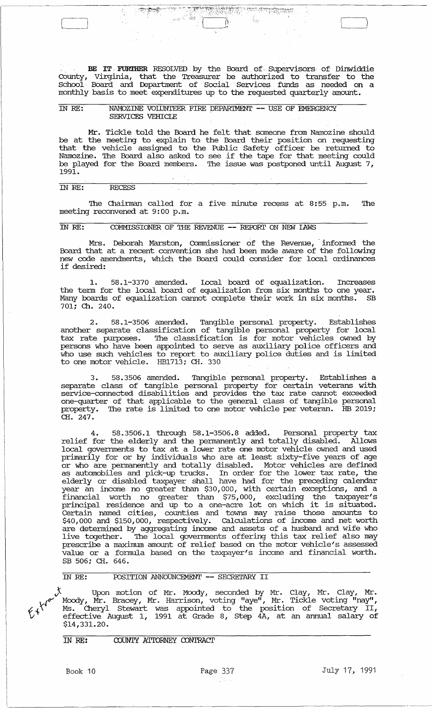BE IT FURTHER RESOLVED by the Board of Supervisors of Dinwiddie County, Virginia, that the Treasurer be authorized to transfer to the school Board and Department of Social Services funds as needed on a monthly basis to meet expenditures up to the requested quarterly amount.

"f':·.;1;1~{fJ':· .. ' :t~"'r <, 1" '~:)~~\~"~~1~~jiH;~.~~~r~(\::·~~;~·.:··! r.~·;:,::·:·

 $\hat{b}_{\Phi}$ 

### IN RE: NAMOZINE VOLUNTEER FIRE DEPARTMENT -- USE OF EMERGENCY SERVICES VEHICIE

!.>}.

Mr. Tickle told the Board he felt that someone from Namozine should be at the meeting to explain to the Board their position on requesting that the vehicle assigned to the Public Safety officer be returned to and the vanished assigned to the rabile balley critical be returned to be played for the Board members. The issue was postponed until August 7, 1991.

# IN RE: RECESS

The Chainnan called for a five minute recess at 8:55 p.m. The meeting reconvened at 9:00 p.m.

# rn RE: COMMISSIONER OF THE REVENUE **--** REroRI' ON NEW lAWS

Mrs. Deborah Marston, Commissioner of the Revenue, informed the Board that at a recent convention she had been made aware of the following new code amendments, which the Board could consider for local ordinances if desired:

1. 58.1-3370 amended. Local board of equalization. Increases the tenn for the local board of equalization from six months to one year. Many boards of equalization cannot complete their work in six months. SB 701; Ch. 240.

2. 58.1-3506 amended. Tangible personal property. Establishes another separate classification of tangible personal property for local tax rate purposes. The classification is for motor vehicles owned by persons who have been appointed to serve as auxiliary police officers and who use such vehicles to report to auxiliary police duties and is limited to one motor vehicle. HE1713; CH. 330

3. 58.3506 amended. Tangible personal property. Establishes a separate class of tangible personal property for certain veterans with se:rvice-connected disabilities and provides the tax rate cannot exceeded one-quarter of that applicable to the general class of tangible personal property. The rate is limited to one motor vehicle per veteran. HB 2019;  $CH. 247.$ 

4. 58.3506.1 through 58.1-3506.8 added. Personal property tax relief for the elderly and the pennanently and totally disabled. Allows local governments to tax at a lower rate one motor vehicle owned and used primarily for or by individuals who are at least sixty-five years of age or who are permanently and totally disabled. Motor vehicles are defined as automobiles and pick-up trucks. In order for the lower tax rate, the elderly or disabled taxpayer shall have had for the preceding calendar year an income no greater than \$30,000, with certain exceptions, and a financial worth no greater than \$75,000, excluding the taxpayer's principal residence and' up to a one-acre lot on which it is situated. Certain named cities, counties and towns may raise those amounts to \$40,000 and \$150,000, respectively. calculations of income and net worth are determined by aggregating income and assets of a husband and wife who live together. The local governments offering this tax relief also may prescribe a maximum amount of relief based on the motor vehicle's assessed ralue or a formula based on the taxpayer's income and financial worth. SB 506; CH. 646.

### rn RE: roSITION ANNOUNCEMENT **--** SECREI'ARY II

 $y$  Upon motion of Mr. Moody, seconded by Mr. Clay, Mr. Clay, Mr.  $\mu_{\alpha}$  Moody, Mr. Bracey, Mr. Harrison, voting "aye", Mr. Tickle voting "nay",  $\chi$ <sup> $\chi$ </sup> Ms. Cheryl Stewart was appointed to the position of Secretary II,  $\mathcal{U}^*$  is distinct and appoint is defined to the position of sociously in \$14,331. 20.

# IN RE: COUNTY ATTORNEY CONTRACT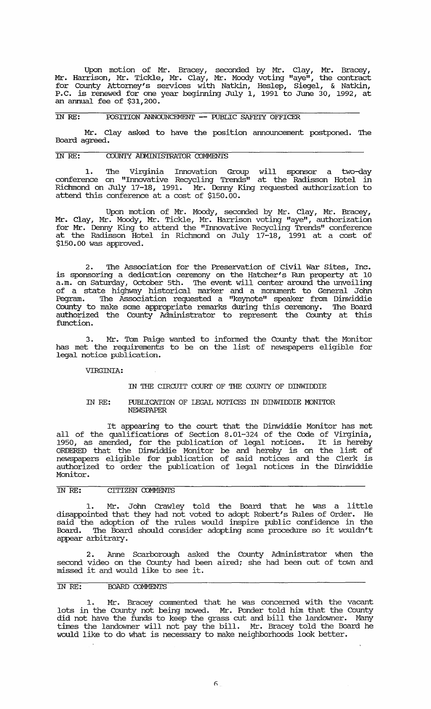Upon motion of Mr. Bracey, seconded by Mr. Clay, Mr. Bracey, Mr. Harrison, Mr. Tickle, Mr. Clay, Mr. Moody voting "aye", the contract for County Attorney's services with Natkin, Heslep, Siegel, & Natkin, P.C. is renewed for one year beginning July 1, 1991 to June 30, 1992, at an annual fee of \$31,200.

#### IN RE: POSITION ANNOUNCEMENT -- PUBLIC SAFEIY OFFICER

Mr. Clay asked to have the position announcement postponed. 'Ihe Board agreed.

## IN RE: COUNTY ADMINISTRATOR COMMENTS

1. 'Ihe Virginia Innovation Group will sponsor a two-day conference on "Innovative Recycling Trends" at the Radisson Hotel in Richmond on July 17-18, 1991. Mr. Denny King requested authorization to attend this conference at a cost of \$150.00.

Upon motion of Mr. Moody, seconded by Mr. Clay, Mr. Bracey, Mr. Clay, Mr. Moody, Mr. Tickle, Mr. Harrison voting "aye", authorization for Mr. Denny King to attend the "Innovative Recycling Trends" conference at the Radisson Hotel in Richmond on July 17-18, 1991 at a cost of \$150.00 was approved.

2. 'Ihe Association for the Preservation of Civil War Sites, Inc. is sponsoring a dedication ceremony on the Hatcher's Run property at 10 a.m. on Saturday, october 5th. 'Ihe event will center around the unveiling of a state highway historical marker and a monument to General John Pegram. 'Ihe Association requested a "keynote" speaker from Dinwiddie County to make some appropriate remarks during this ceremony. 'Ihe Board authorized the County Administrator to represent the County at this function.

3. Mr. Tom Paige wanted to infonned the County that the Monitor has met the requirements to be on the list of newspapers eligible for legal notice publication.

#### VIRGINIA:

#### IN THE CIRCUIT COURI' OF THE COUNTY OF DINWIDDIE

#### IN *RE:*  PUBLICATION OF LEGAL NOTICES IN DINWIDDIE MONITOR **NEWSPAPER**

It appearing to the court that the Dinwiddie Monitor has met all of the qualifications of Section 8.01-324 of the Code of Virginia, 1950, as amended, for the publication of legal notices. It is hereby ORDERED that the Dinwiddie Monitor be and hereby is on the list of newspapers eligible for publication of said notices and the Clerk is authorized to order the publication of legal notices in the Dinwiddie Monitor.

# IN RE: CITIZEN COMMENTS

1. Mr. John Crawley told the Board that he was a little disappointed that they had not voted to adopt Robert's Rules of Order. He said the adoption of the rules would inspire public confidence in the Board. 'Ihe Board should consider adopting some procedure so it wouldn't appear arbitrary.

2. Anne Scarborough asked the County Administrator when the second video on the County had been aired; she had been out of town and missed it and would like to see it.

## IN *RE:* BOARD COMMENTS

1. Mr. Bracey commented that he was concerned with the vacant lots in the County not being mowed. Mr. Ponder told him that the County did not have the funds to keep the grass cut and bill the landowner. Many times the landowner will not pay the bill. Mr. Bracey told the Board he would like to do what is necessary to make neighborhoods look better.